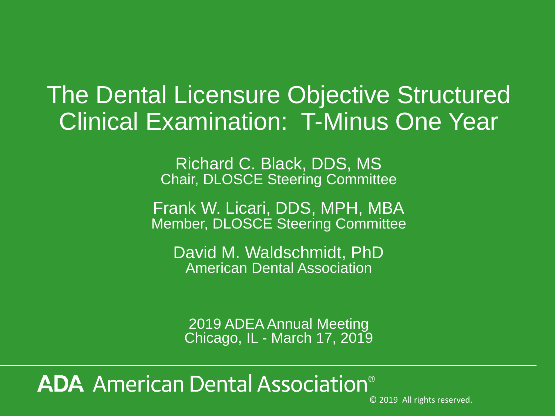# The Dental Licensure Objective Structured Clinical Examination: T-Minus One Year

Richard C. Black, DDS, MS Chair, DLOSCE Steering Committee

Frank W. Licari, DDS, MPH, MBA Member, DLOSCE Steering Committee

David M. Waldschmidt, PhD American Dental Association

2019 ADEA Annual Meeting Chicago, IL - March 17, 2019

## **ADA** American Dental Association<sup>®</sup>

© 2019 All rights reserved.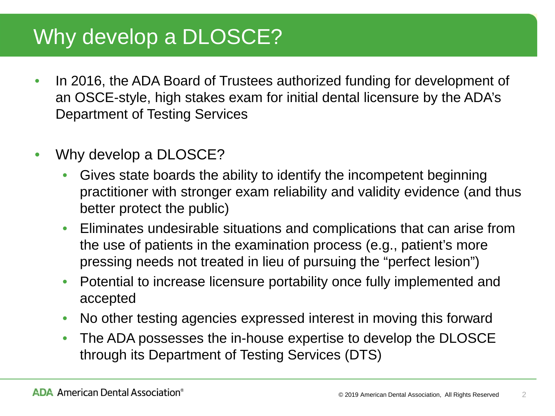### Why develop a DLOSCE?

- In 2016, the ADA Board of Trustees authorized funding for development of an OSCE-style, high stakes exam for initial dental licensure by the ADA's Department of Testing Services
- Why develop a DLOSCE?
	- Gives state boards the ability to identify the incompetent beginning practitioner with stronger exam reliability and validity evidence (and thus better protect the public)
	- Eliminates undesirable situations and complications that can arise from the use of patients in the examination process (e.g., patient's more pressing needs not treated in lieu of pursuing the "perfect lesion")
	- Potential to increase licensure portability once fully implemented and accepted
	- No other testing agencies expressed interest in moving this forward
	- The ADA possesses the in-house expertise to develop the DLOSCE through its Department of Testing Services (DTS)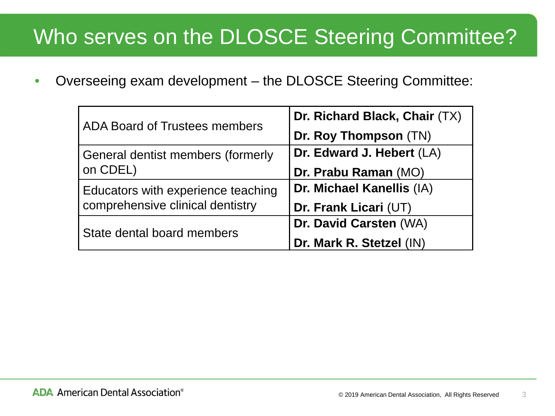### Who serves on the DLOSCE Steering Committee?

• Overseeing exam development – the DLOSCE Steering Committee:

| <b>ADA Board of Trustees members</b> | Dr. Richard Black, Chair (TX) |
|--------------------------------------|-------------------------------|
|                                      | Dr. Roy Thompson (TN)         |
| General dentist members (formerly    | Dr. Edward J. Hebert (LA)     |
| on CDEL)                             | Dr. Prabu Raman (MO)          |
| Educators with experience teaching   | Dr. Michael Kanellis (IA)     |
| comprehensive clinical dentistry     | Dr. Frank Licari (UT)         |
| State dental board members           | Dr. David Carsten (WA)        |
|                                      | Dr. Mark R. Stetzel (IN)      |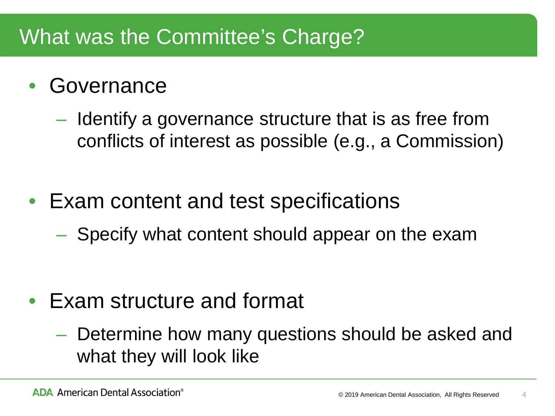### What was the Committee's Charge?

### **Governance**

- Identify a governance structure that is as free from conflicts of interest as possible (e.g., a Commission)
- Exam content and test specifications
	- Specify what content should appear on the exam

- Exam structure and format
	- Determine how many questions should be asked and what they will look like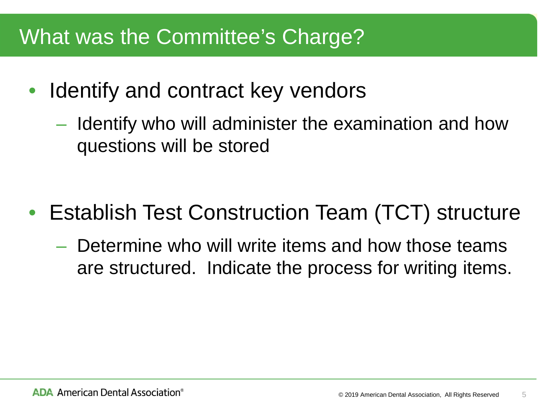### What was the Committee's Charge?

- Identify and contract key vendors
	- Identify who will administer the examination and how questions will be stored

- Establish Test Construction Team (TCT) structure
	- Determine who will write items and how those teams are structured. Indicate the process for writing items.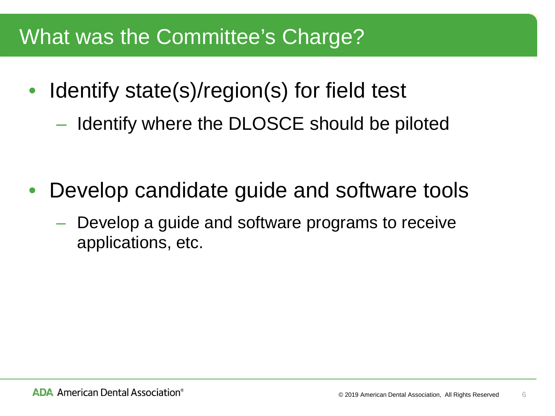### What was the Committee's Charge?

- Identify state(s)/region(s) for field test
	- Identify where the DLOSCE should be piloted

- Develop candidate guide and software tools
	- Develop a guide and software programs to receive applications, etc.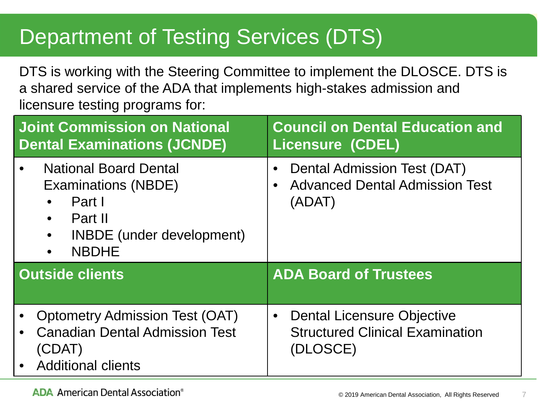### Department of Testing Services (DTS)

DTS is working with the Steering Committee to implement the DLOSCE. DTS is a shared service of the ADA that implements high-stakes admission and licensure testing programs for:

| <b>Joint Commission on National</b>                                                                                                              | <b>Council on Dental Education and</b>                                         |
|--------------------------------------------------------------------------------------------------------------------------------------------------|--------------------------------------------------------------------------------|
| <b>Dental Examinations (JCNDE)</b>                                                                                                               | <b>Licensure (CDEL)</b>                                                        |
| <b>National Board Dental</b><br><b>Examinations (NBDE)</b><br>Part I<br>Part II<br><b>INBDE</b> (under development)<br>$\bullet$<br><b>NBDHE</b> | Dental Admission Test (DAT)<br><b>Advanced Dental Admission Test</b><br>(ADAT) |
| <b>Outside clients</b>                                                                                                                           | <b>ADA Board of Trustees</b>                                                   |
| <b>Optometry Admission Test (OAT)</b>                                                                                                            | <b>Dental Licensure Objective</b>                                              |
| <b>Canadian Dental Admission Test</b>                                                                                                            | $\bullet$                                                                      |
| (CDAT)                                                                                                                                           | <b>Structured Clinical Examination</b>                                         |
| • Additional clients                                                                                                                             | (DLOSCE)                                                                       |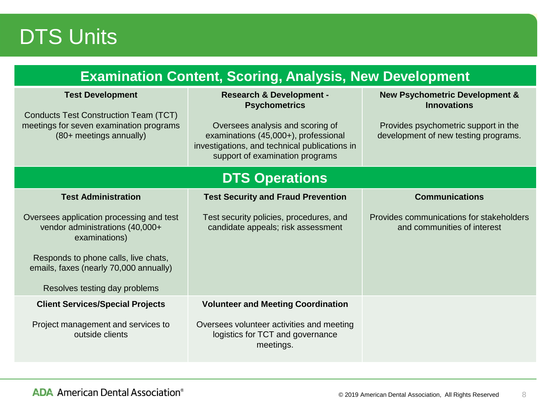### DTS Units

| <b>Examination Content, Scoring, Analysis, New Development</b>                                                                                                                                                  |                                                                                                                                                                                                                             |                                                                                                                                                 |  |  |
|-----------------------------------------------------------------------------------------------------------------------------------------------------------------------------------------------------------------|-----------------------------------------------------------------------------------------------------------------------------------------------------------------------------------------------------------------------------|-------------------------------------------------------------------------------------------------------------------------------------------------|--|--|
| <b>Test Development</b><br>Conducts Test Construction Team (TCT)<br>meetings for seven examination programs<br>(80+ meetings annually)                                                                          | <b>Research &amp; Development -</b><br><b>Psychometrics</b><br>Oversees analysis and scoring of<br>examinations (45,000+), professional<br>investigations, and technical publications in<br>support of examination programs | <b>New Psychometric Development &amp;</b><br><b>Innovations</b><br>Provides psychometric support in the<br>development of new testing programs. |  |  |
| <b>DTS Operations</b>                                                                                                                                                                                           |                                                                                                                                                                                                                             |                                                                                                                                                 |  |  |
| <b>Test Administration</b>                                                                                                                                                                                      | <b>Test Security and Fraud Prevention</b>                                                                                                                                                                                   | <b>Communications</b>                                                                                                                           |  |  |
| Oversees application processing and test<br>vendor administrations (40,000+<br>examinations)<br>Responds to phone calls, live chats,<br>emails, faxes (nearly 70,000 annually)<br>Resolves testing day problems | Test security policies, procedures, and<br>candidate appeals; risk assessment                                                                                                                                               | Provides communications for stakeholders<br>and communities of interest                                                                         |  |  |
| <b>Client Services/Special Projects</b>                                                                                                                                                                         | <b>Volunteer and Meeting Coordination</b>                                                                                                                                                                                   |                                                                                                                                                 |  |  |
| Project management and services to<br>outside clients                                                                                                                                                           | Oversees volunteer activities and meeting<br>logistics for TCT and governance<br>meetings.                                                                                                                                  |                                                                                                                                                 |  |  |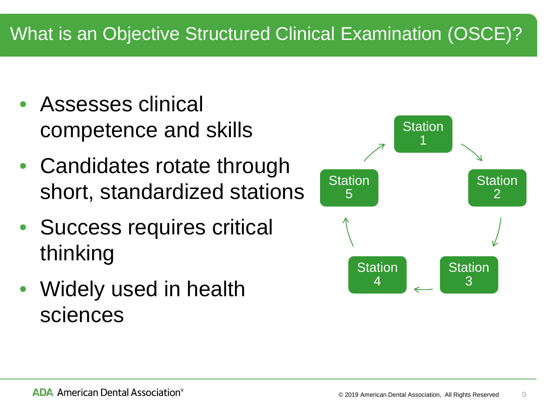### What is an Objective Structured Clinical Examination (OSCE)?

- Assesses clinical competence and skills
- Candidates rotate through short, standardized stations
- Success requires critical thinking
- Widely used in health sciences

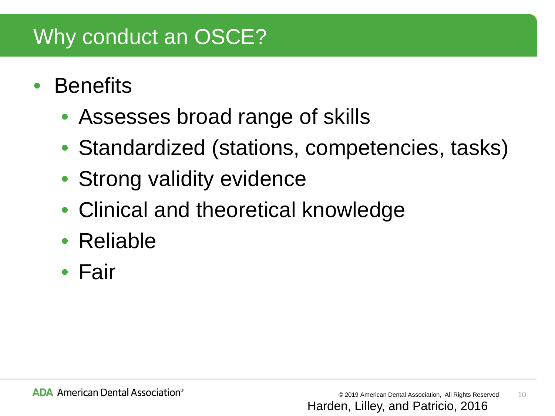## Why conduct an OSCE?

- **Benefits** 
	- Assesses broad range of skills
	- Standardized (stations, competencies, tasks)
	- Strong validity evidence
	- Clinical and theoretical knowledge
	- Reliable
	- Fair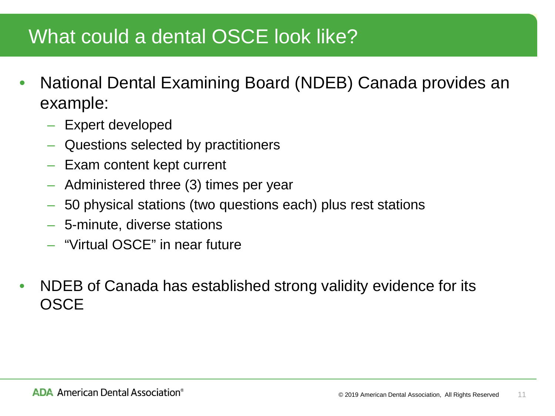### What could a dental OSCE look like?

- National Dental Examining Board (NDEB) Canada provides an example:
	- Expert developed
	- Questions selected by practitioners
	- Exam content kept current
	- Administered three (3) times per year
	- 50 physical stations (two questions each) plus rest stations
	- 5-minute, diverse stations
	- "Virtual OSCE" in near future
- NDEB of Canada has established strong validity evidence for its **OSCE**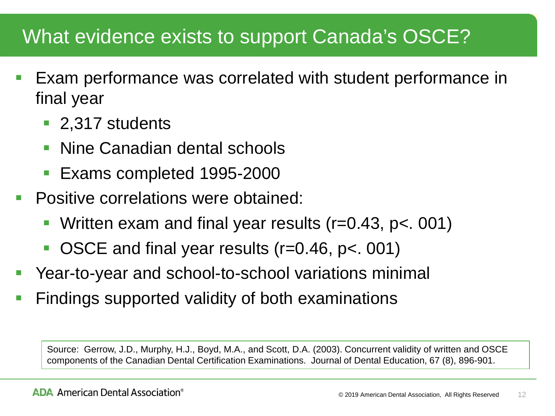### What evidence exists to support Canada's OSCE?

- Exam performance was correlated with student performance in final year
	- 2,317 students
	- Nine Canadian dental schools
	- Exams completed 1995-2000
- Positive correlations were obtained:
	- Written exam and final year results (r=0.43, p<. 001)
	- OSCE and final year results (r=0.46, p<. 001)
- Year-to-year and school-to-school variations minimal
- Findings supported validity of both examinations

Source: Gerrow, J.D., Murphy, H.J., Boyd, M.A., and Scott, D.A. (2003). Concurrent validity of written and OSCE components of the Canadian Dental Certification Examinations. Journal of Dental Education, 67 (8), 896-901.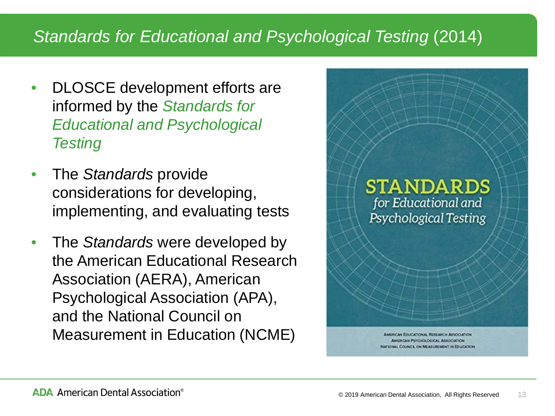#### *Standards for Educational and Psychological Testing* (2014)

- DLOSCE development efforts are informed by the *Standards for Educational and Psychological Testing*
- The *Standards* provide considerations for developing, implementing, and evaluating tests
- The *Standards* were developed by the American Educational Research Association (AERA), American Psychological Association (APA), and the National Council on Measurement in Education (NCME)

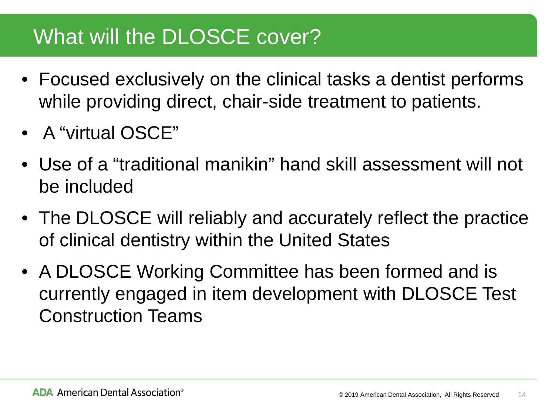### What will the DLOSCE cover?

- Focused exclusively on the clinical tasks a dentist performs while providing direct, chair-side treatment to patients.
- A "virtual OSCE"
- Use of a "traditional manikin" hand skill assessment will not be included
- The DLOSCE will reliably and accurately reflect the practice of clinical dentistry within the United States
- A DLOSCE Working Committee has been formed and is currently engaged in item development with DLOSCE Test Construction Teams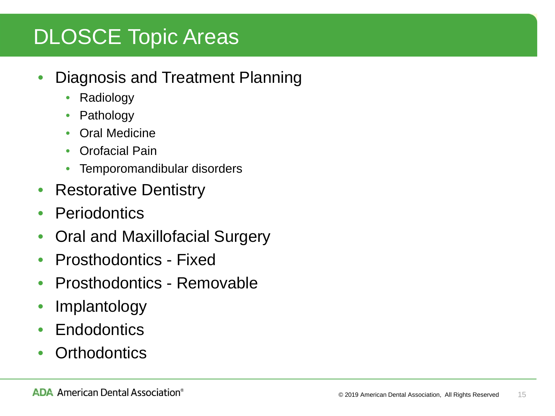## DLOSCE Topic Areas

- Diagnosis and Treatment Planning
	- Radiology
	- Pathology
	- Oral Medicine
	- Orofacial Pain
	- Temporomandibular disorders
- Restorative Dentistry
- Periodontics
- Oral and Maxillofacial Surgery
- Prosthodontics Fixed
- Prosthodontics Removable
- Implantology
- Endodontics
- **Orthodontics**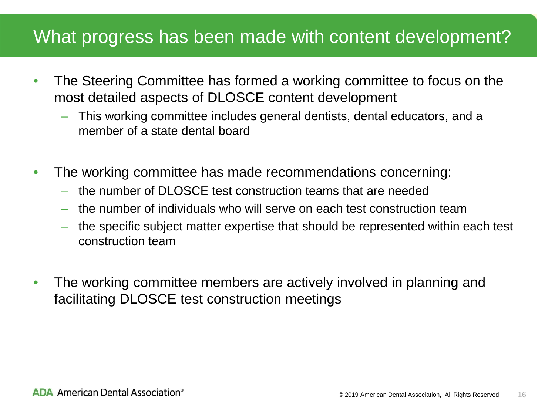### What progress has been made with content development?

- The Steering Committee has formed a working committee to focus on the most detailed aspects of DLOSCE content development
	- This working committee includes general dentists, dental educators, and a member of a state dental board
- The working committee has made recommendations concerning:
	- the number of DLOSCE test construction teams that are needed
	- the number of individuals who will serve on each test construction team
	- the specific subject matter expertise that should be represented within each test construction team
- The working committee members are actively involved in planning and facilitating DLOSCE test construction meetings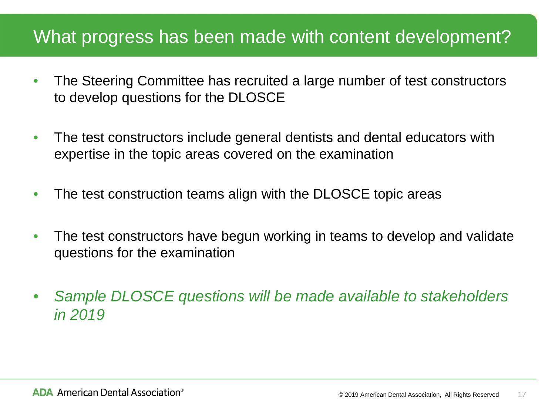### What progress has been made with content development?

- The Steering Committee has recruited a large number of test constructors to develop questions for the DLOSCE
- The test constructors include general dentists and dental educators with expertise in the topic areas covered on the examination
- The test construction teams align with the DLOSCE topic areas
- The test constructors have begun working in teams to develop and validate questions for the examination
- *Sample DLOSCE questions will be made available to stakeholders in 2019*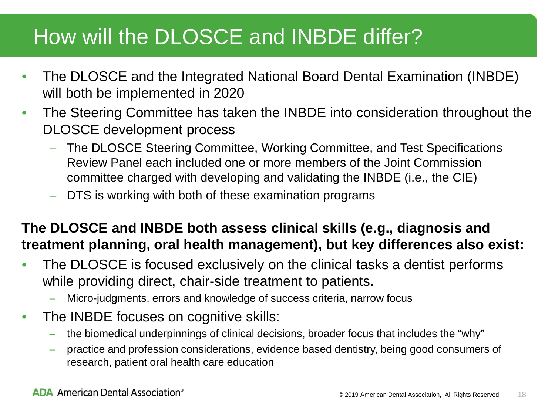### How will the DLOSCE and INBDE differ?

- The DLOSCE and the Integrated National Board Dental Examination (INBDE) will both be implemented in 2020
- The Steering Committee has taken the INBDE into consideration throughout the DLOSCE development process
	- The DLOSCE Steering Committee, Working Committee, and Test Specifications Review Panel each included one or more members of the Joint Commission committee charged with developing and validating the INBDE (i.e., the CIE)
	- DTS is working with both of these examination programs

#### **The DLOSCE and INBDE both assess clinical skills (e.g., diagnosis and treatment planning, oral health management), but key differences also exist:**

- The DLOSCE is focused exclusively on the clinical tasks a dentist performs while providing direct, chair-side treatment to patients.
	- Micro-judgments, errors and knowledge of success criteria, narrow focus
- The INBDE focuses on cognitive skills:
	- the biomedical underpinnings of clinical decisions, broader focus that includes the "why"
	- practice and profession considerations, evidence based dentistry, being good consumers of research, patient oral health care education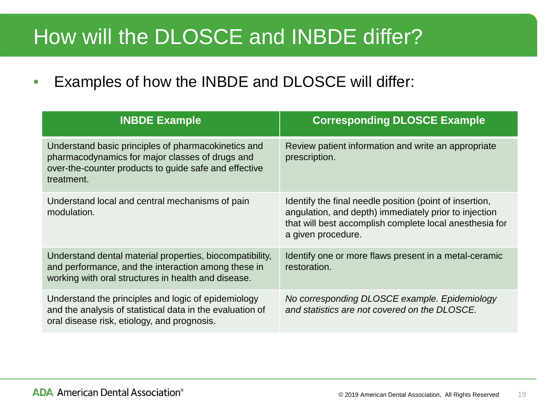### How will the DLOSCE and INBDE differ?

• Examples of how the INBDE and DLOSCE will differ:

| <b>INBDE Example</b>                                                                                                                                                          | <b>Corresponding DLOSCE Example</b>                                                                                                                                                               |
|-------------------------------------------------------------------------------------------------------------------------------------------------------------------------------|---------------------------------------------------------------------------------------------------------------------------------------------------------------------------------------------------|
| Understand basic principles of pharmacokinetics and<br>pharmacodynamics for major classes of drugs and<br>over-the-counter products to guide safe and effective<br>treatment. | Review patient information and write an appropriate<br>prescription.                                                                                                                              |
| Understand local and central mechanisms of pain<br>modulation.                                                                                                                | Identify the final needle position (point of insertion,<br>angulation, and depth) immediately prior to injection<br>that will best accomplish complete local anesthesia for<br>a given procedure. |
| Understand dental material properties, biocompatibility,<br>and performance, and the interaction among these in<br>working with oral structures in health and disease.        | Identify one or more flaws present in a metal-ceramic<br>restoration.                                                                                                                             |
| Understand the principles and logic of epidemiology<br>and the analysis of statistical data in the evaluation of<br>oral disease risk, etiology, and prognosis.               | No corresponding DLOSCE example. Epidemiology<br>and statistics are not covered on the DLOSCE.                                                                                                    |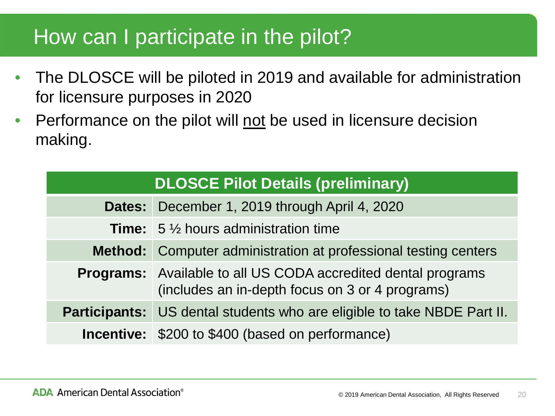### How can I participate in the pilot?

- The DLOSCE will be piloted in 2019 and available for administration for licensure purposes in 2020
- Performance on the pilot will not be used in licensure decision making.

| <b>DLOSCE Pilot Details (preliminary)</b> |                                                                                                                         |  |
|-------------------------------------------|-------------------------------------------------------------------------------------------------------------------------|--|
|                                           | Dates: December 1, 2019 through April 4, 2020                                                                           |  |
|                                           | <b>Time:</b> $5\frac{1}{2}$ hours administration time                                                                   |  |
|                                           | Method: Computer administration at professional testing centers                                                         |  |
|                                           | <b>Programs:</b> Available to all US CODA accredited dental programs<br>(includes an in-depth focus on 3 or 4 programs) |  |
|                                           | <b>Participants:</b> US dental students who are eligible to take NBDE Part II.                                          |  |
|                                           | <b>Incentive:</b> \$200 to \$400 (based on performance)                                                                 |  |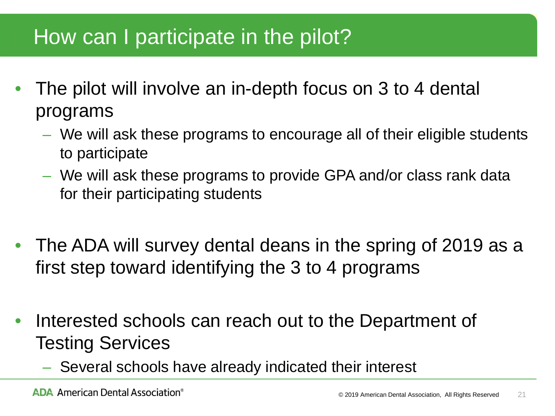### How can I participate in the pilot?

- The pilot will involve an in-depth focus on 3 to 4 dental programs
	- We will ask these programs to encourage all of their eligible students to participate
	- We will ask these programs to provide GPA and/or class rank data for their participating students
- The ADA will survey dental deans in the spring of 2019 as a first step toward identifying the 3 to 4 programs
- Interested schools can reach out to the Department of Testing Services
	- Several schools have already indicated their interest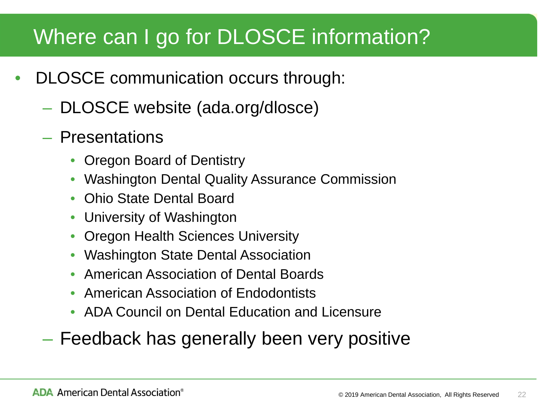### Where can I go for DLOSCE information?

- DLOSCE communication occurs through:
	- DLOSCE website (ada.org/dlosce)
	- Presentations
		- Oregon Board of Dentistry
		- Washington Dental Quality Assurance Commission
		- Ohio State Dental Board
		- University of Washington
		- Oregon Health Sciences University
		- Washington State Dental Association
		- American Association of Dental Boards
		- American Association of Endodontists
		- ADA Council on Dental Education and Licensure
	- Feedback has generally been very positive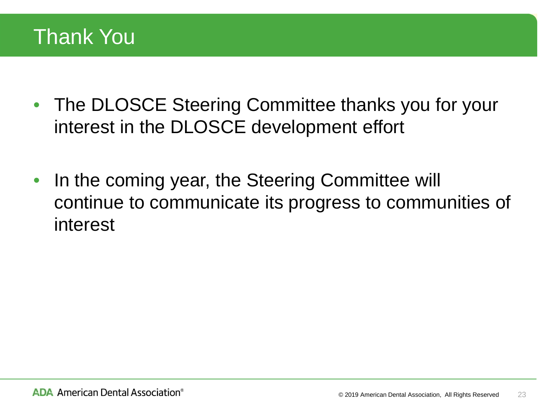### Thank You

- The DLOSCE Steering Committee thanks you for your interest in the DLOSCE development effort
- In the coming year, the Steering Committee will continue to communicate its progress to communities of interest